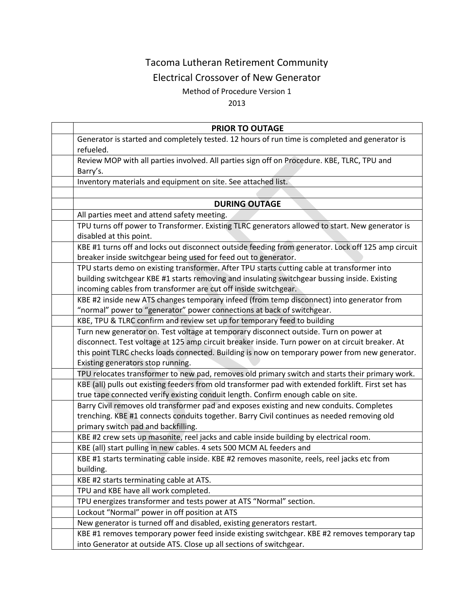# Tacoma Lutheran Retirement Community

## Electrical Crossover of New Generator

### Method of Procedure Version 1

#### 2013

| <b>PRIOR TO OUTAGE</b>                                                                              |
|-----------------------------------------------------------------------------------------------------|
| Generator is started and completely tested. 12 hours of run time is completed and generator is      |
| refueled.                                                                                           |
| Review MOP with all parties involved. All parties sign off on Procedure. KBE, TLRC, TPU and         |
| Barry's.                                                                                            |
| Inventory materials and equipment on site. See attached list.                                       |
|                                                                                                     |
| <b>DURING OUTAGE</b>                                                                                |
| All parties meet and attend safety meeting.                                                         |
| TPU turns off power to Transformer. Existing TLRC generators allowed to start. New generator is     |
| disabled at this point.                                                                             |
| KBE #1 turns off and locks out disconnect outside feeding from generator. Lock off 125 amp circuit  |
| breaker inside switchgear being used for feed out to generator.                                     |
| TPU starts demo on existing transformer. After TPU starts cutting cable at transformer into         |
| building switchgear KBE #1 starts removing and insulating switchgear bussing inside. Existing       |
| incoming cables from transformer are cut off inside switchgear.                                     |
| KBE #2 inside new ATS changes temporary infeed (from temp disconnect) into generator from           |
| "normal" power to "generator" power connections at back of switchgear.                              |
| KBE, TPU & TLRC confirm and review set up for temporary feed to building                            |
| Turn new generator on. Test voltage at temporary disconnect outside. Turn on power at               |
| disconnect. Test voltage at 125 amp circuit breaker inside. Turn power on at circuit breaker. At    |
| this point TLRC checks loads connected. Building is now on temporary power from new generator.      |
| Existing generators stop running.                                                                   |
| TPU relocates transformer to new pad, removes old primary switch and starts their primary work.     |
| KBE (all) pulls out existing feeders from old transformer pad with extended forklift. First set has |
| true tape connected verify existing conduit length. Confirm enough cable on site.                   |
| Barry Civil removes old transformer pad and exposes existing and new conduits. Completes            |
| trenching. KBE #1 connects conduits together. Barry Civil continues as needed removing old          |
| primary switch pad and backfilling.                                                                 |
| KBE #2 crew sets up masonite, reel jacks and cable inside building by electrical room.              |
| KBE (all) start pulling in new cables. 4 sets 500 MCM AL feeders and                                |
| KBE #1 starts terminating cable inside. KBE #2 removes masonite, reels, reel jacks etc from         |
| building.                                                                                           |
| KBE #2 starts terminating cable at ATS.                                                             |
| TPU and KBE have all work completed.                                                                |
| TPU energizes transformer and tests power at ATS "Normal" section.                                  |
| Lockout "Normal" power in off position at ATS                                                       |
| New generator is turned off and disabled, existing generators restart.                              |
| KBE #1 removes temporary power feed inside existing switchgear. KBE #2 removes temporary tap        |
| into Generator at outside ATS. Close up all sections of switchgear.                                 |